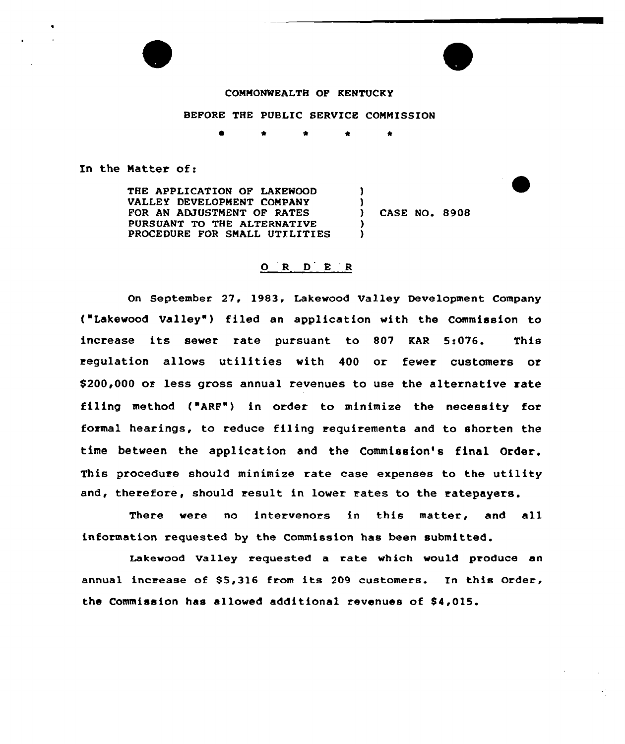

### BEFORE THE PUBLIC SERVICE COMMISSION

**I A** \* \* \*

In the Natter of:

E

1

THE APPLICATION OF LAKEWOOD VALLEY DEVELOPMENT CONPANY FOR AN ADJUSTMENT OF RATES PURSUANT TO THE ALTERNATIVE PROCEDURE FOR SMALL UTILITIES 1 )<br>) ) )

CASE NO. 8908

## 0 <sup>R</sup> <sup>D</sup> <sup>E</sup> 'R

On September 27, 1983, Lakewood Valley Development Company {"Lakewood Valley" ) filed an application with the Commission to increase its sewer rate pursuant to 807 KAR 5:076. This regulation allows utilities with 400 or fewer customers or \$200,000 or less gross annual revenues to use the alternative rate filing method {"ARF") in order to minimize the necessity for formal hearings, to reduce filing requirements and to shorten the time between the application and the Commission's final Order. This procedure should minimize rate case expenses to the utility and, therefore, should result in lower rates to the ratepayers.

There were no intervenors in this matter, and all information requested by the Commission has been submitted.

Lakewood Valley requested a rate which would produce an annual increase of 85,316 from its <sup>209</sup> customers. In this Order, the Commission has allowed additional revenues of \$4,015.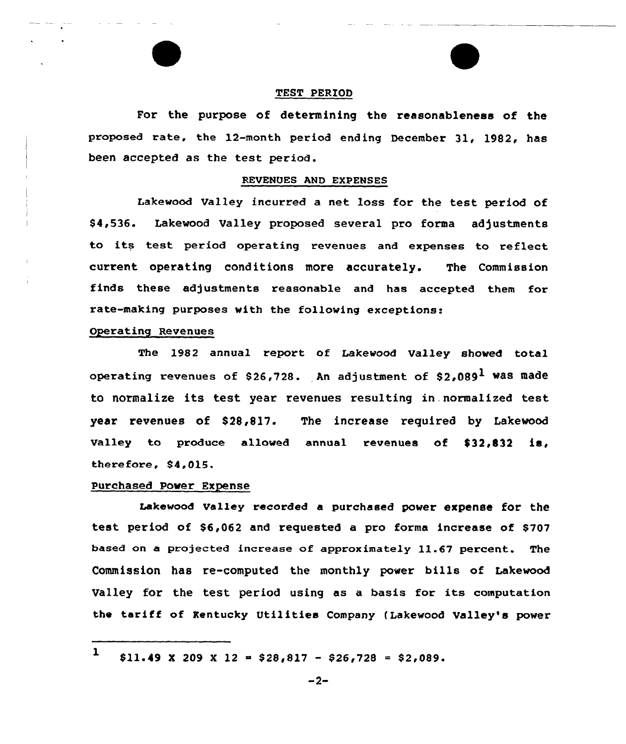### TEST PERIOD

For the purpose of determining the reasonableness of the Proposed rate, the 12-month period ending December 31, 1982, has been accepted as the test pexiod.

#### REVENUES AND EXPENSES

Lakevood Valley incurred a net loss for the test period of \$ 4,536. Lakevood Valley proposed several pro forma adjustments to its test period operating revenues and expenses to reflect current opexating conditions more accurately. The Commission finds these adjustments reasonable and has accepted them for xate-making puxposes vith the tolloving exceptions:

### Opexating Revenues

The 1982 annual report of Lakevood Valley shoved total operating revenues of \$26,728. An adjustment of  $$2.089<sup>1</sup>$  was made to normalize its test year revenues resulting in.normalized test year revenues of \$28,817. The increase required by Lakevood Valley to produce allowed annual revenues of  $$32,832$  is, therefore, \$4,015.

## Purchased Pover Expense

Lakeveod valley recorded a purchased pover expense for the test period of \$6,062 and requested a pro forma increase of \$707 based on a projected increase of approximately 11.67 percent. The Commission has re-computed the monthly pover bills of Lakevood Valley for the test period using as <sup>a</sup> basis for its computation the tariff of Kentucky Utilities Company (Lakevood Valley's pover

<sup>1</sup>  $$11.49 \times 209 \times 12 = $28,817 - $26,728 = $2,089.$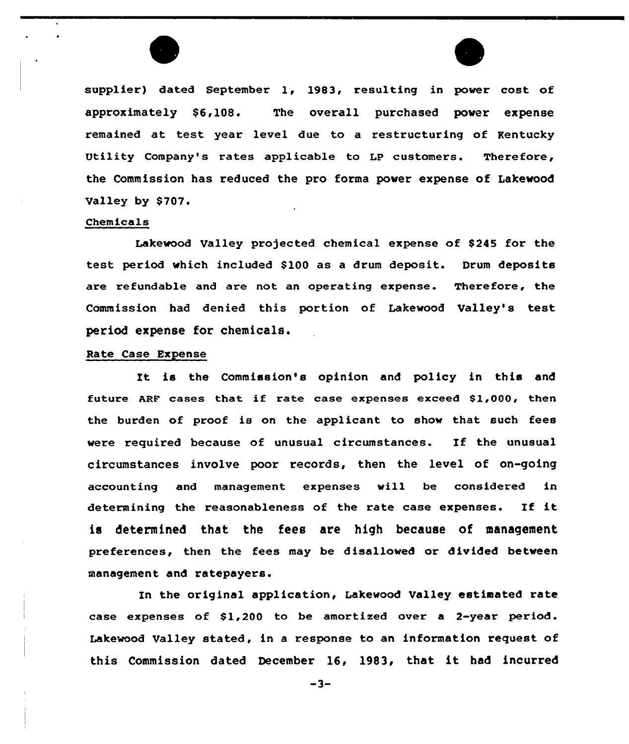



supplier) dated September 1, 1983, resulting in power cost of approximately \$6, 108. The overall purchased power expense remained at test year level due to a restructuring of Kentucky Utility Company's rates applicable to Lp customers. Therefore, the Commission has reduced the pro forma power expense of Lakewood Valley by \$707.

#### Chemicals

Lakewood Valley projected chemical expense of \$245 for the test period which included \$100 as a drum deposit. Drum deposits are refundable and are not an operating expense. Therefore, the Commission had denied this portion of Lakewood Valley's test period expense for chemicals.

## Rate Case Expense

It is the Commission's opinion and policy in this and future ARF cases that if rate case expenses exceed \$1,000, then the burden of proof is on the applicant to show that such fees vere required because of unusual circumstances. If the unusual circumstances involve poor records, then the level of on-going accounting and management expenses will be considered in determining the reasonableness of the rate case expenses. If it is determined that the fees are high because of management preferences, then the fees may be disallawed ar divided between management and ratepayers.

In the original application, Lakewood Valley estimated rate case expenses of  $$1,200$  to be amortized over a 2-year period. Lakewood Valley stated, in a response to an information request of this Commissian dated December 16, 1983, that it had incurred

 $-3-$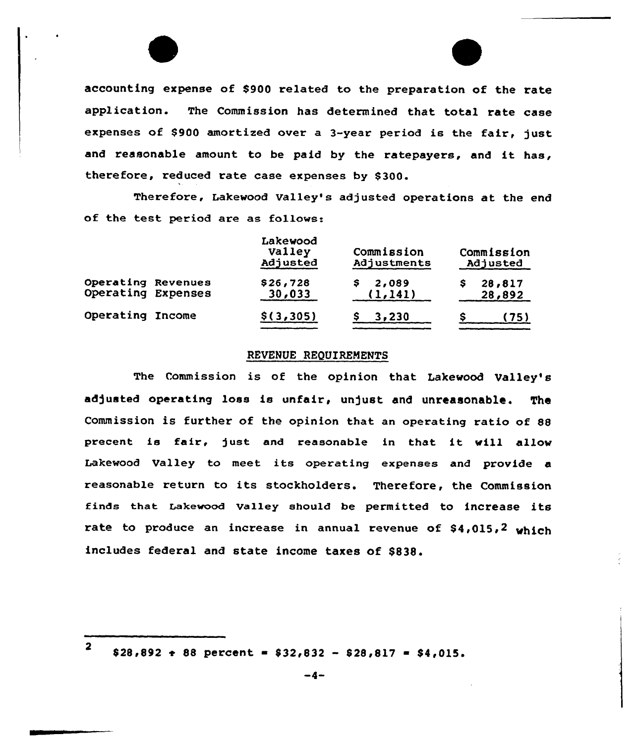accounting expense of \$900 related to the preparation of the rate application. The Commission has determined that total rate case expenses of \$900 amortized over a 3-year period is the fair, just and reasonable amount to be paid by the ratepayers, and it has, therefore, reduced rate case expenses by \$300.

Therefore, Lakewood Valley's adjusted operations at the end of the test period are as follows:

|                                          | Lakewood<br>Valley<br>Adjusted | Commission<br>Adjustments | Commission<br>Adjusted |                  |
|------------------------------------------|--------------------------------|---------------------------|------------------------|------------------|
| Operating Revenues<br>Operating Expenses | \$26,728<br>30,033             | 2,089<br>(1, 141)         |                        | 28,817<br>28,892 |
| Operating Income                         | \$(3,305)                      | 3,230                     |                        | (75)             |

### REVENUE REQUIREMENTS

The Commission is of the opinion that Lakevood Valley's adjusted operating loss is unfair, unjust and unreasonable. The Commission is further of the opinion that an operating ratio of 88 precent is fair, just and reasonable in that it will allow Lakevood Valley to meet its operating expenses and provide a reasonable return to its stockholders. Therefore, the Commission finds that Lakewood Valley should be permitted to increase its rate to produce an increase in annual revenue of \$4,015,2 which includes federal and state income taxes of 8838.

2

 $$28,892 \div 88$  percent =  $$32,832 - $28,817 = $4,015$ .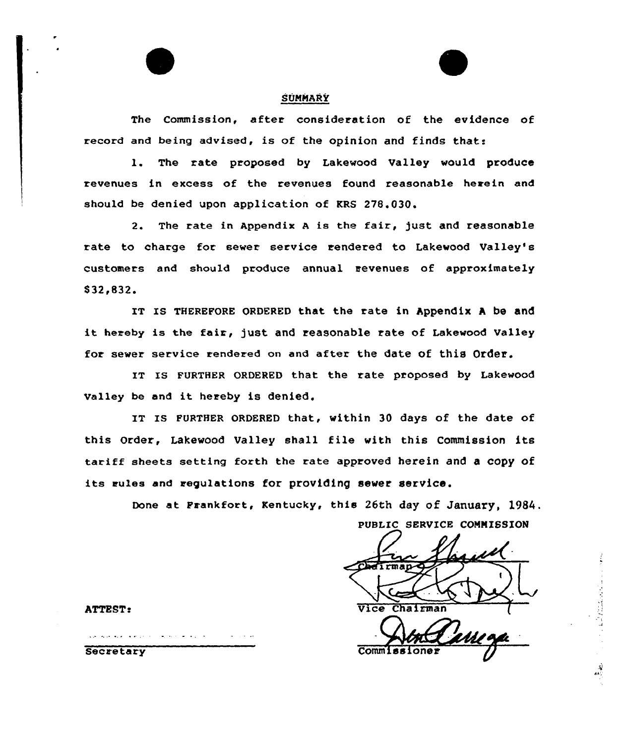## SUNNARY

The Commission, after consideration of the evidence of record and being advised, is of the opinion and finds that:

1. The rate proposed by Lakewood Valley would produce revenues in excess of the revenues found reasonable herein and should be denied upon application of KRS 278.030.

2. The rate in Appendix <sup>A</sup> is the fair, just and reasonable rate to charge for sewer service rendered to Lakewood Valley's customers and should produce annual revenues of approximately \$32.832.

IT IS THEREFoRE 0RDERED that the rate in Appendix <sup>A</sup> be and it hereby is the fair, just and reasonable rate of Lakewood Valley for sewer service rendered on and after the date of this Order.

IT IS FURTHER ORDERED that the rate proposed by Lakewood valley be and it hereby is denied.

IT IS FURTHER ORDERED that, within 30 days of the date of this Order, Lakewood Valley shall file with this Commission its tariff sheets setting forth the rate approved herein and a copy of its rules and regulations for providing sewer service.

Done at Frankfort, Kentucky, this 26th day of January, 1984.

PUBLIC SERVICE COMMISSION ATTEST: Vice Chairman Chairman Comm 1

**Secretary**